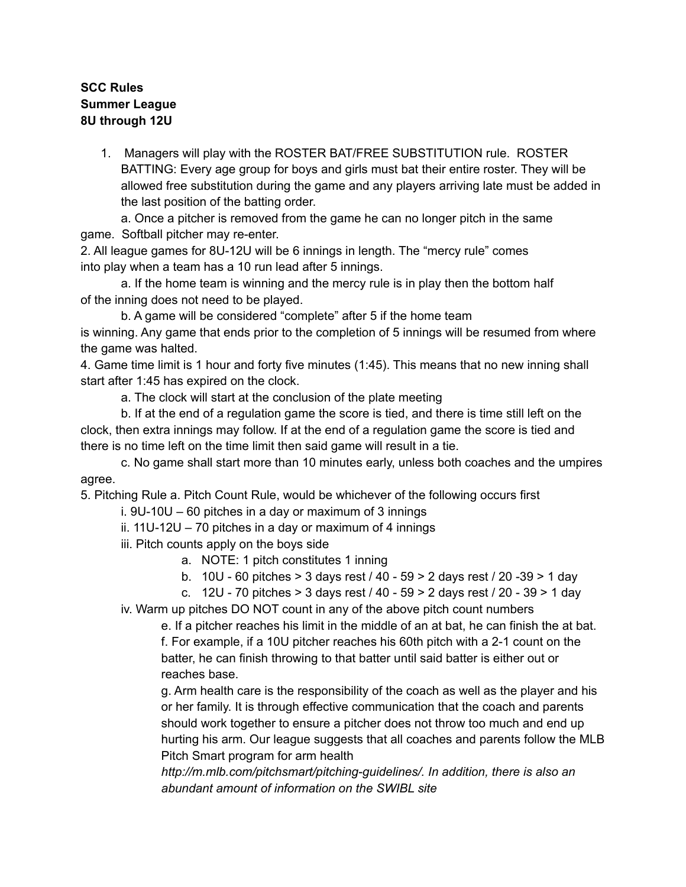## **SCC Rules Summer League 8U through 12U**

1. Managers will play with the ROSTER BAT/FREE SUBSTITUTION rule. ROSTER BATTING: Every age group for boys and girls must bat their entire roster. They will be allowed free substitution during the game and any players arriving late must be added in the last position of the batting order.

a. Once a pitcher is removed from the game he can no longer pitch in the same game. Softball pitcher may re-enter.

2. All league games for 8U-12U will be 6 innings in length. The "mercy rule" comes into play when a team has a 10 run lead after 5 innings.

a. If the home team is winning and the mercy rule is in play then the bottom half of the inning does not need to be played.

b. A game will be considered "complete" after 5 if the home team is winning. Any game that ends prior to the completion of 5 innings will be resumed from where the game was halted.

4. Game time limit is 1 hour and forty five minutes (1:45). This means that no new inning shall start after 1:45 has expired on the clock.

a. The clock will start at the conclusion of the plate meeting

b. If at the end of a regulation game the score is tied, and there is time still left on the clock, then extra innings may follow. If at the end of a regulation game the score is tied and there is no time left on the time limit then said game will result in a tie.

c. No game shall start more than 10 minutes early, unless both coaches and the umpires agree.

5. Pitching Rule a. Pitch Count Rule, would be whichever of the following occurs first

- i. 9U-10U 60 pitches in a day or maximum of 3 innings
- ii. 11U-12U 70 pitches in a day or maximum of 4 innings
- iii. Pitch counts apply on the boys side
	- a. NOTE: 1 pitch constitutes 1 inning
	- b. 10U 60 pitches > 3 days rest / 40 59 > 2 days rest / 20 -39 > 1 day
	- c. 12U 70 pitches > 3 days rest / 40 59 > 2 days rest / 20 39 > 1 day

iv. Warm up pitches DO NOT count in any of the above pitch count numbers

e. If a pitcher reaches his limit in the middle of an at bat, he can finish the at bat. f. For example, if a 10U pitcher reaches his 60th pitch with a 2-1 count on the batter, he can finish throwing to that batter until said batter is either out or reaches base.

g. Arm health care is the responsibility of the coach as well as the player and his or her family. It is through effective communication that the coach and parents should work together to ensure a pitcher does not throw too much and end up hurting his arm. Our league suggests that all coaches and parents follow the MLB Pitch Smart program for arm health

*http://m.mlb.com/pitchsmart/pitching-guidelines/. In addition, there is also an abundant amount of information on the SWIBL site*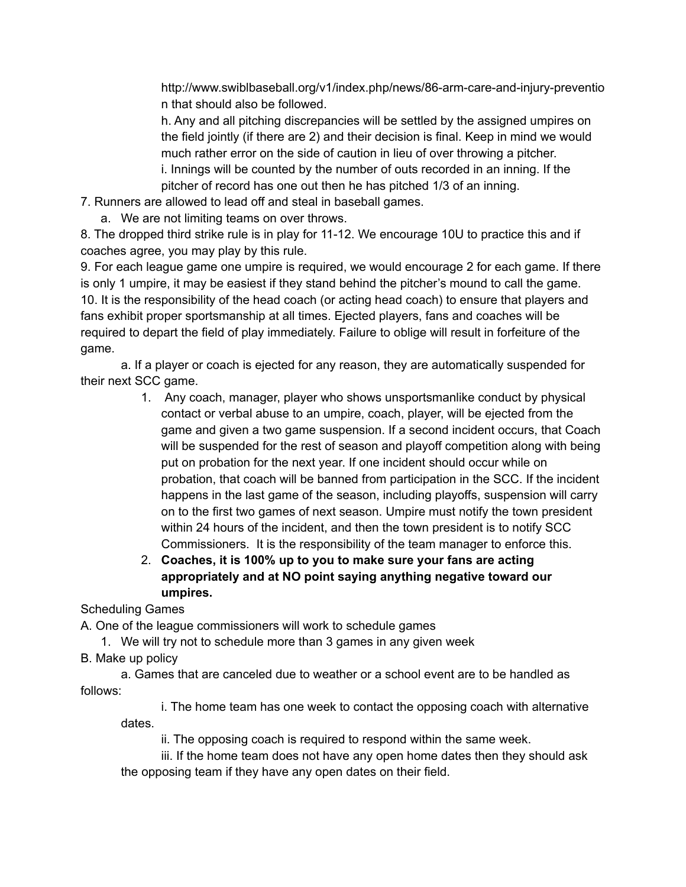http://www.swiblbaseball.org/v1/index.php/news/86-arm-care-and-injury-preventio n that should also be followed.

h. Any and all pitching discrepancies will be settled by the assigned umpires on the field jointly (if there are 2) and their decision is final. Keep in mind we would much rather error on the side of caution in lieu of over throwing a pitcher.

i. Innings will be counted by the number of outs recorded in an inning. If the pitcher of record has one out then he has pitched 1/3 of an inning.

7. Runners are allowed to lead off and steal in baseball games.

a. We are not limiting teams on over throws.

8. The dropped third strike rule is in play for 11-12. We encourage 10U to practice this and if coaches agree, you may play by this rule.

9. For each league game one umpire is required, we would encourage 2 for each game. If there is only 1 umpire, it may be easiest if they stand behind the pitcher's mound to call the game. 10. It is the responsibility of the head coach (or acting head coach) to ensure that players and fans exhibit proper sportsmanship at all times. Ejected players, fans and coaches will be required to depart the field of play immediately. Failure to oblige will result in forfeiture of the game.

a. If a player or coach is ejected for any reason, they are automatically suspended for their next SCC game.

- 1. Any coach, manager, player who shows unsportsmanlike conduct by physical contact or verbal abuse to an umpire, coach, player, will be ejected from the game and given a two game suspension. If a second incident occurs, that Coach will be suspended for the rest of season and playoff competition along with being put on probation for the next year. If one incident should occur while on probation, that coach will be banned from participation in the SCC. If the incident happens in the last game of the season, including playoffs, suspension will carry on to the first two games of next season. Umpire must notify the town president within 24 hours of the incident, and then the town president is to notify SCC Commissioners. It is the responsibility of the team manager to enforce this.
- 2. **Coaches, it is 100% up to you to make sure your fans are acting appropriately and at NO point saying anything negative toward our umpires.**

Scheduling Games

A. One of the league commissioners will work to schedule games

- 1. We will try not to schedule more than 3 games in any given week
- B. Make up policy

a. Games that are canceled due to weather or a school event are to be handled as follows:

i. The home team has one week to contact the opposing coach with alternative dates.

ii. The opposing coach is required to respond within the same week.

iii. If the home team does not have any open home dates then they should ask the opposing team if they have any open dates on their field.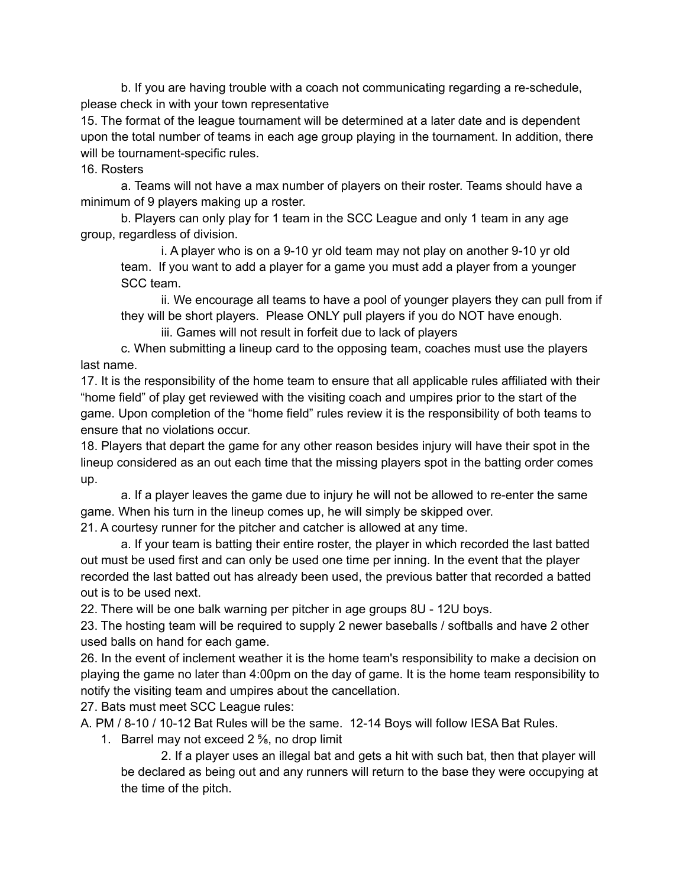b. If you are having trouble with a coach not communicating regarding a re-schedule, please check in with your town representative

15. The format of the league tournament will be determined at a later date and is dependent upon the total number of teams in each age group playing in the tournament. In addition, there will be tournament-specific rules.

16. Rosters

a. Teams will not have a max number of players on their roster. Teams should have a minimum of 9 players making up a roster.

b. Players can only play for 1 team in the SCC League and only 1 team in any age group, regardless of division.

i. A player who is on a 9-10 yr old team may not play on another 9-10 yr old team. If you want to add a player for a game you must add a player from a younger SCC team.

ii. We encourage all teams to have a pool of younger players they can pull from if they will be short players. Please ONLY pull players if you do NOT have enough.

iii. Games will not result in forfeit due to lack of players

c. When submitting a lineup card to the opposing team, coaches must use the players last name.

17. It is the responsibility of the home team to ensure that all applicable rules affiliated with their "home field" of play get reviewed with the visiting coach and umpires prior to the start of the game. Upon completion of the "home field" rules review it is the responsibility of both teams to ensure that no violations occur.

18. Players that depart the game for any other reason besides injury will have their spot in the lineup considered as an out each time that the missing players spot in the batting order comes up.

a. If a player leaves the game due to injury he will not be allowed to re-enter the same game. When his turn in the lineup comes up, he will simply be skipped over.

21. A courtesy runner for the pitcher and catcher is allowed at any time.

a. If your team is batting their entire roster, the player in which recorded the last batted out must be used first and can only be used one time per inning. In the event that the player recorded the last batted out has already been used, the previous batter that recorded a batted out is to be used next.

22. There will be one balk warning per pitcher in age groups 8U - 12U boys.

23. The hosting team will be required to supply 2 newer baseballs / softballs and have 2 other used balls on hand for each game.

26. In the event of inclement weather it is the home team's responsibility to make a decision on playing the game no later than 4:00pm on the day of game. It is the home team responsibility to notify the visiting team and umpires about the cancellation.

27. Bats must meet SCC League rules:

A. PM / 8-10 / 10-12 Bat Rules will be the same. 12-14 Boys will follow IESA Bat Rules.

1. Barrel may not exceed 2 ⅝, no drop limit

2. If a player uses an illegal bat and gets a hit with such bat, then that player will be declared as being out and any runners will return to the base they were occupying at the time of the pitch.